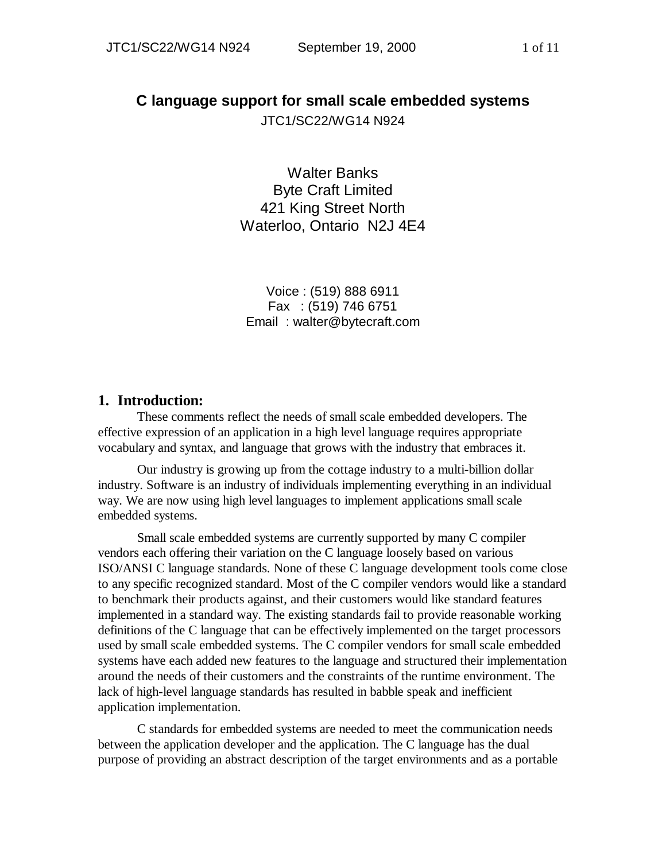# **C language support for small scale embedded systems**

JTC1/SC22/WG14 N924

Walter Banks Byte Craft Limited 421 King Street North Waterloo, Ontario N2J 4E4

Voice : (519) 888 6911 Fax : (519) 746 6751 Email : walter@bytecraft.com

# **1. Introduction:**

These comments reflect the needs of small scale embedded developers. The effective expression of an application in a high level language requires appropriate vocabulary and syntax, and language that grows with the industry that embraces it.

Our industry is growing up from the cottage industry to a multi-billion dollar industry. Software is an industry of individuals implementing everything in an individual way. We are now using high level languages to implement applications small scale embedded systems.

Small scale embedded systems are currently supported by many C compiler vendors each offering their variation on the C language loosely based on various ISO/ANSI C language standards. None of these C language development tools come close to any specific recognized standard. Most of the C compiler vendors would like a standard to benchmark their products against, and their customers would like standard features implemented in a standard way. The existing standards fail to provide reasonable working definitions of the C language that can be effectively implemented on the target processors used by small scale embedded systems. The C compiler vendors for small scale embedded systems have each added new features to the language and structured their implementation around the needs of their customers and the constraints of the runtime environment. The lack of high-level language standards has resulted in babble speak and inefficient application implementation.

C standards for embedded systems are needed to meet the communication needs between the application developer and the application. The C language has the dual purpose of providing an abstract description of the target environments and as a portable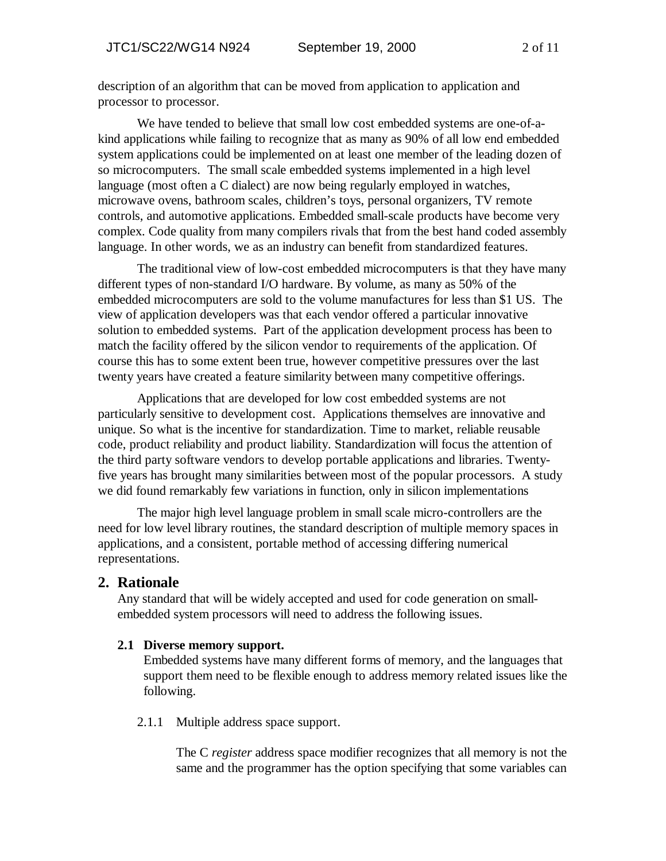description of an algorithm that can be moved from application to application and processor to processor.

We have tended to believe that small low cost embedded systems are one-of-akind applications while failing to recognize that as many as 90% of all low end embedded system applications could be implemented on at least one member of the leading dozen of so microcomputers. The small scale embedded systems implemented in a high level language (most often a C dialect) are now being regularly employed in watches, microwave ovens, bathroom scales, children's toys, personal organizers, TV remote controls, and automotive applications. Embedded small-scale products have become very complex. Code quality from many compilers rivals that from the best hand coded assembly language. In other words, we as an industry can benefit from standardized features.

The traditional view of low-cost embedded microcomputers is that they have many different types of non-standard I/O hardware. By volume, as many as 50% of the embedded microcomputers are sold to the volume manufactures for less than \$1 US. The view of application developers was that each vendor offered a particular innovative solution to embedded systems. Part of the application development process has been to match the facility offered by the silicon vendor to requirements of the application. Of course this has to some extent been true, however competitive pressures over the last twenty years have created a feature similarity between many competitive offerings.

Applications that are developed for low cost embedded systems are not particularly sensitive to development cost. Applications themselves are innovative and unique. So what is the incentive for standardization. Time to market, reliable reusable code, product reliability and product liability. Standardization will focus the attention of the third party software vendors to develop portable applications and libraries. Twentyfive years has brought many similarities between most of the popular processors. A study we did found remarkably few variations in function, only in silicon implementations

The major high level language problem in small scale micro-controllers are the need for low level library routines, the standard description of multiple memory spaces in applications, and a consistent, portable method of accessing differing numerical representations.

# **2. Rationale**

Any standard that will be widely accepted and used for code generation on smallembedded system processors will need to address the following issues.

#### **2.1 Diverse memory support.**

Embedded systems have many different forms of memory, and the languages that support them need to be flexible enough to address memory related issues like the following.

2.1.1 Multiple address space support.

The C *register* address space modifier recognizes that all memory is not the same and the programmer has the option specifying that some variables can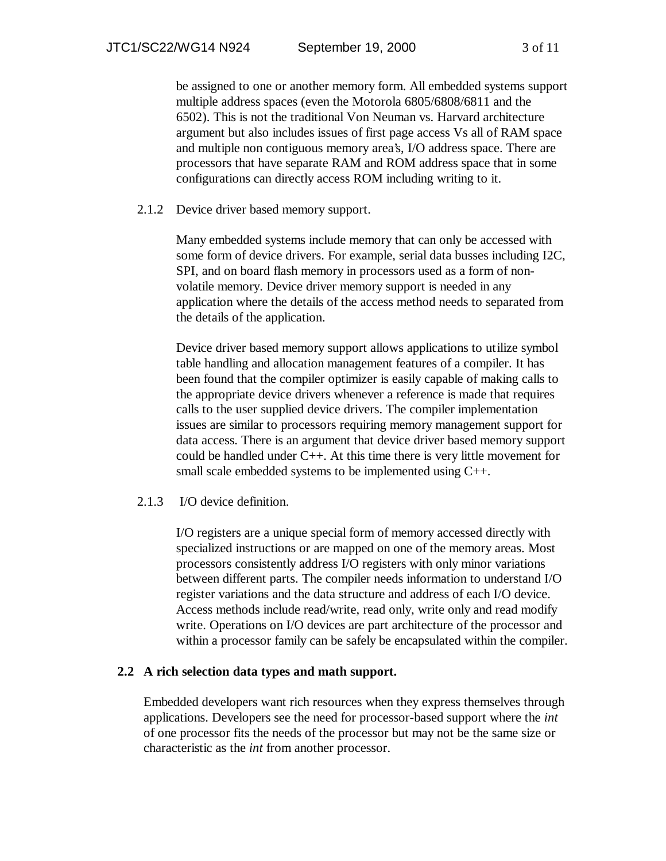be assigned to one or another memory form. All embedded systems support multiple address spaces (even the Motorola 6805/6808/6811 and the 6502). This is not the traditional Von Neuman vs. Harvard architecture argument but also includes issues of first page access Vs all of RAM space and multiple non contiguous memory area's, I/O address space. There are processors that have separate RAM and ROM address space that in some configurations can directly access ROM including writing to it.

2.1.2 Device driver based memory support.

Many embedded systems include memory that can only be accessed with some form of device drivers. For example, serial data busses including I2C, SPI, and on board flash memory in processors used as a form of nonvolatile memory. Device driver memory support is needed in any application where the details of the access method needs to separated from the details of the application.

Device driver based memory support allows applications to utilize symbol table handling and allocation management features of a compiler. It has been found that the compiler optimizer is easily capable of making calls to the appropriate device drivers whenever a reference is made that requires calls to the user supplied device drivers. The compiler implementation issues are similar to processors requiring memory management support for data access. There is an argument that device driver based memory support could be handled under C++. At this time there is very little movement for small scale embedded systems to be implemented using C++.

#### 2.1.3 I/O device definition.

I/O registers are a unique special form of memory accessed directly with specialized instructions or are mapped on one of the memory areas. Most processors consistently address I/O registers with only minor variations between different parts. The compiler needs information to understand I/O register variations and the data structure and address of each I/O device. Access methods include read/write, read only, write only and read modify write. Operations on I/O devices are part architecture of the processor and within a processor family can be safely be encapsulated within the compiler.

#### **2.2 A rich selection data types and math support.**

Embedded developers want rich resources when they express themselves through applications. Developers see the need for processor-based support where the *int* of one processor fits the needs of the processor but may not be the same size or characteristic as the *int* from another processor.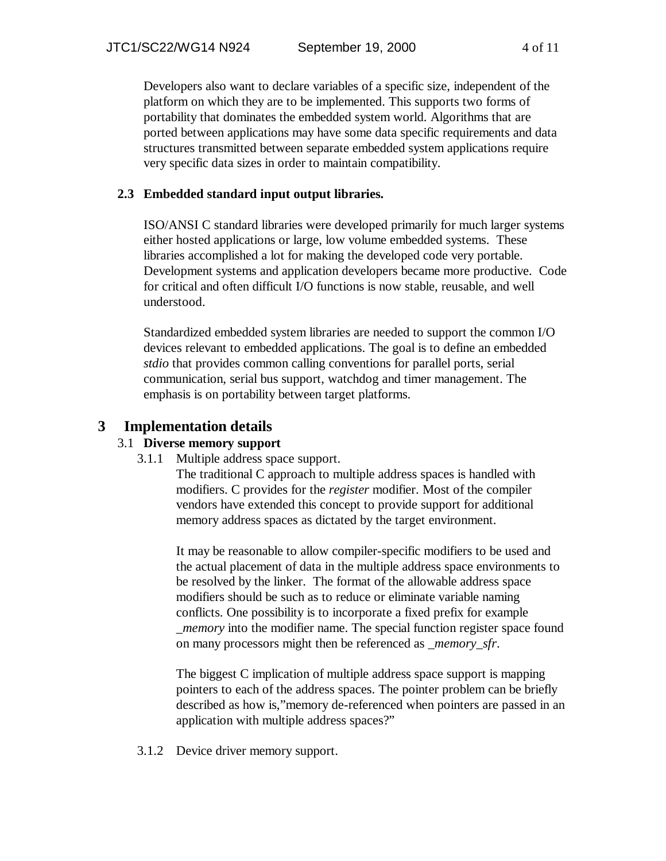Developers also want to declare variables of a specific size, independent of the platform on which they are to be implemented. This supports two forms of portability that dominates the embedded system world. Algorithms that are ported between applications may have some data specific requirements and data structures transmitted between separate embedded system applications require very specific data sizes in order to maintain compatibility.

## **2.3 Embedded standard input output libraries.**

ISO/ANSI C standard libraries were developed primarily for much larger systems either hosted applications or large, low volume embedded systems. These libraries accomplished a lot for making the developed code very portable. Development systems and application developers became more productive. Code for critical and often difficult I/O functions is now stable, reusable, and well understood.

Standardized embedded system libraries are needed to support the common I/O devices relevant to embedded applications. The goal is to define an embedded *stdio* that provides common calling conventions for parallel ports, serial communication, serial bus support, watchdog and timer management. The emphasis is on portability between target platforms.

# **3 Implementation details**

# 3.1 **Diverse memory support**

3.1.1 Multiple address space support.

The traditional C approach to multiple address spaces is handled with modifiers. C provides for the *register* modifier. Most of the compiler vendors have extended this concept to provide support for additional memory address spaces as dictated by the target environment.

It may be reasonable to allow compiler-specific modifiers to be used and the actual placement of data in the multiple address space environments to be resolved by the linker. The format of the allowable address space modifiers should be such as to reduce or eliminate variable naming conflicts. One possibility is to incorporate a fixed prefix for example *\_memory* into the modifier name. The special function register space found on many processors might then be referenced as *\_memory\_sfr*.

The biggest C implication of multiple address space support is mapping pointers to each of the address spaces. The pointer problem can be briefly described as how is,"memory de-referenced when pointers are passed in an application with multiple address spaces?"

3.1.2 Device driver memory support.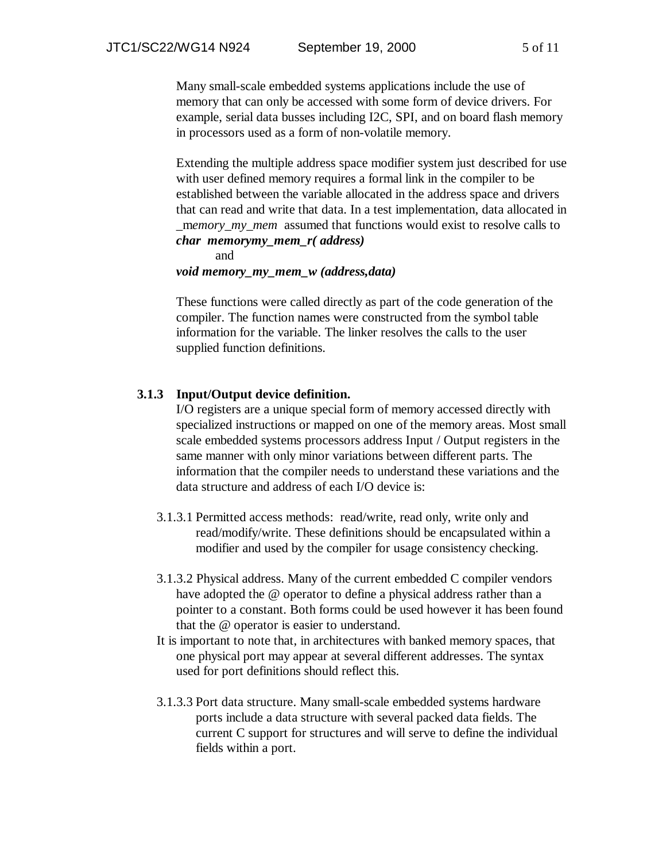Many small-scale embedded systems applications include the use of memory that can only be accessed with some form of device drivers. For example, serial data busses including I2C, SPI, and on board flash memory in processors used as a form of non-volatile memory.

Extending the multiple address space modifier system just described for use with user defined memory requires a formal link in the compiler to be established between the variable allocated in the address space and drivers that can read and write that data. In a test implementation, data allocated in memory my mem assumed that functions would exist to resolve calls to *char memorymy\_mem\_r( address)* and

### *void memory\_my\_mem\_w (address,data)*

These functions were called directly as part of the code generation of the compiler. The function names were constructed from the symbol table information for the variable. The linker resolves the calls to the user supplied function definitions.

#### **3.1.3 Input/Output device definition.**

I/O registers are a unique special form of memory accessed directly with specialized instructions or mapped on one of the memory areas. Most small scale embedded systems processors address Input / Output registers in the same manner with only minor variations between different parts. The information that the compiler needs to understand these variations and the data structure and address of each I/O device is:

- 3.1.3.1 Permitted access methods: read/write, read only, write only and read/modify/write. These definitions should be encapsulated within a modifier and used by the compiler for usage consistency checking.
- 3.1.3.2 Physical address. Many of the current embedded C compiler vendors have adopted the @ operator to define a physical address rather than a pointer to a constant. Both forms could be used however it has been found that the @ operator is easier to understand.
- It is important to note that, in architectures with banked memory spaces, that one physical port may appear at several different addresses. The syntax used for port definitions should reflect this.
- 3.1.3.3 Port data structure. Many small-scale embedded systems hardware ports include a data structure with several packed data fields. The current C support for structures and will serve to define the individual fields within a port.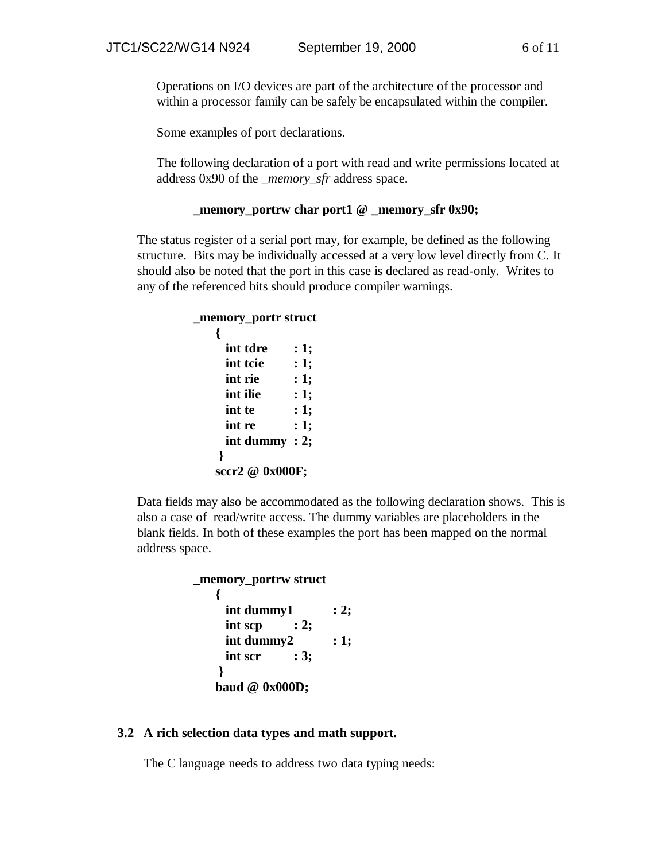Operations on I/O devices are part of the architecture of the processor and within a processor family can be safely be encapsulated within the compiler.

Some examples of port declarations.

The following declaration of a port with read and write permissions located at address 0x90 of the \_*memory\_sfr* address space.

#### **\_memory\_portrw char port1 @ \_memory\_sfr 0x90;**

The status register of a serial port may, for example, be defined as the following structure. Bits may be individually accessed at a very low level directly from C. It should also be noted that the port in this case is declared as read-only. Writes to any of the referenced bits should produce compiler warnings.

```
 _memory_portr struct
   {
     int tdre : 1:
     int tcie : 1;
     int rie : 1:
     int ilie : 1;
     int te : 1:
     int re : 1;
      int dummy : 2;
     }
   sccr2 @ 0x000F;
```
Data fields may also be accommodated as the following declaration shows. This is also a case of read/write access. The dummy variables are placeholders in the blank fields. In both of these examples the port has been mapped on the normal address space.

```
 _memory_portrw struct
   {
    int dummy1 : 2;
     int scp : 2;
    int dummy2 : 1;
     int scr : 3;
    }
   baud @ 0x000D;
```
#### **3.2 A rich selection data types and math support.**

The C language needs to address two data typing needs: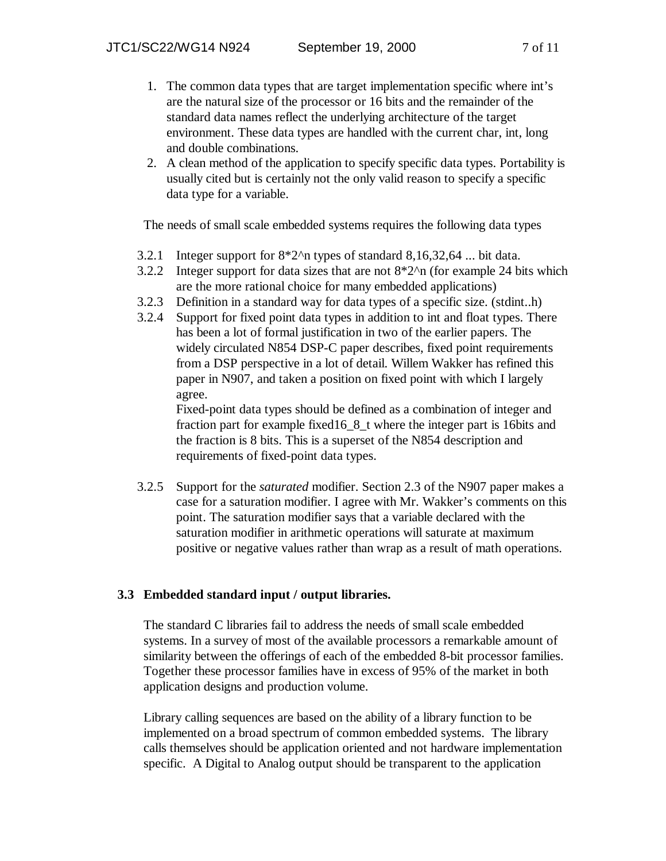- 1. The common data types that are target implementation specific where int's are the natural size of the processor or 16 bits and the remainder of the standard data names reflect the underlying architecture of the target environment. These data types are handled with the current char, int, long and double combinations.
- 2. A clean method of the application to specify specific data types. Portability is usually cited but is certainly not the only valid reason to specify a specific data type for a variable.

The needs of small scale embedded systems requires the following data types

- 3.2.1 Integer support for 8\*2^n types of standard 8,16,32,64 ... bit data.
- 3.2.2 Integer support for data sizes that are not  $8*2^n$  (for example 24 bits which are the more rational choice for many embedded applications)
- 3.2.3 Definition in a standard way for data types of a specific size. (stdint..h)
- 3.2.4 Support for fixed point data types in addition to int and float types. There has been a lot of formal justification in two of the earlier papers. The widely circulated N854 DSP-C paper describes, fixed point requirements from a DSP perspective in a lot of detail. Willem Wakker has refined this paper in N907, and taken a position on fixed point with which I largely agree.

Fixed-point data types should be defined as a combination of integer and fraction part for example fixed16\_8\_t where the integer part is 16bits and the fraction is 8 bits. This is a superset of the N854 description and requirements of fixed-point data types.

3.2.5 Support for the *saturated* modifier. Section 2.3 of the N907 paper makes a case for a saturation modifier. I agree with Mr. Wakker's comments on this point. The saturation modifier says that a variable declared with the saturation modifier in arithmetic operations will saturate at maximum positive or negative values rather than wrap as a result of math operations.

### **3.3 Embedded standard input / output libraries.**

The standard C libraries fail to address the needs of small scale embedded systems. In a survey of most of the available processors a remarkable amount of similarity between the offerings of each of the embedded 8-bit processor families. Together these processor families have in excess of 95% of the market in both application designs and production volume.

Library calling sequences are based on the ability of a library function to be implemented on a broad spectrum of common embedded systems. The library calls themselves should be application oriented and not hardware implementation specific. A Digital to Analog output should be transparent to the application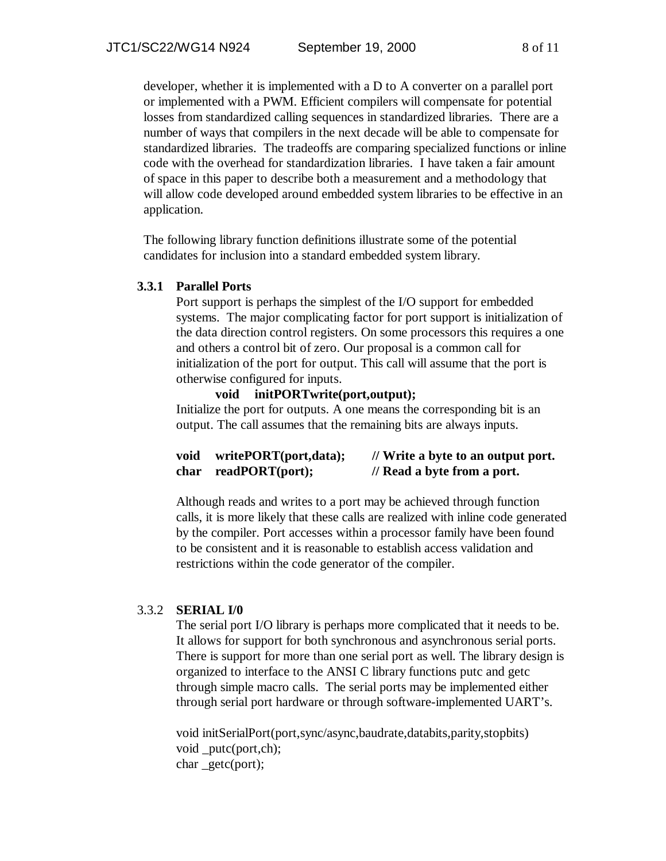developer, whether it is implemented with a D to A converter on a parallel port or implemented with a PWM. Efficient compilers will compensate for potential losses from standardized calling sequences in standardized libraries. There are a number of ways that compilers in the next decade will be able to compensate for standardized libraries. The tradeoffs are comparing specialized functions or inline code with the overhead for standardization libraries. I have taken a fair amount of space in this paper to describe both a measurement and a methodology that will allow code developed around embedded system libraries to be effective in an application.

The following library function definitions illustrate some of the potential candidates for inclusion into a standard embedded system library.

#### **3.3.1 Parallel Ports**

Port support is perhaps the simplest of the I/O support for embedded systems. The major complicating factor for port support is initialization of the data direction control registers. On some processors this requires a one and others a control bit of zero. Our proposal is a common call for initialization of the port for output. This call will assume that the port is otherwise configured for inputs.

#### **void initPORTwrite(port,output);**

Initialize the port for outputs. A one means the corresponding bit is an output. The call assumes that the remaining bits are always inputs.

#### **void writePORT(port,data); // Write a byte to an output port. char readPORT(port); // Read a byte from a port.**

Although reads and writes to a port may be achieved through function calls, it is more likely that these calls are realized with inline code generated by the compiler. Port accesses within a processor family have been found to be consistent and it is reasonable to establish access validation and restrictions within the code generator of the compiler.

#### 3.3.2 **SERIAL I/0**

The serial port I/O library is perhaps more complicated that it needs to be. It allows for support for both synchronous and asynchronous serial ports. There is support for more than one serial port as well. The library design is organized to interface to the ANSI C library functions putc and getc through simple macro calls. The serial ports may be implemented either through serial port hardware or through software-implemented UART's.

void initSerialPort(port,sync/async,baudrate,databits,parity,stopbits) void putc(port,ch); char \_getc(port);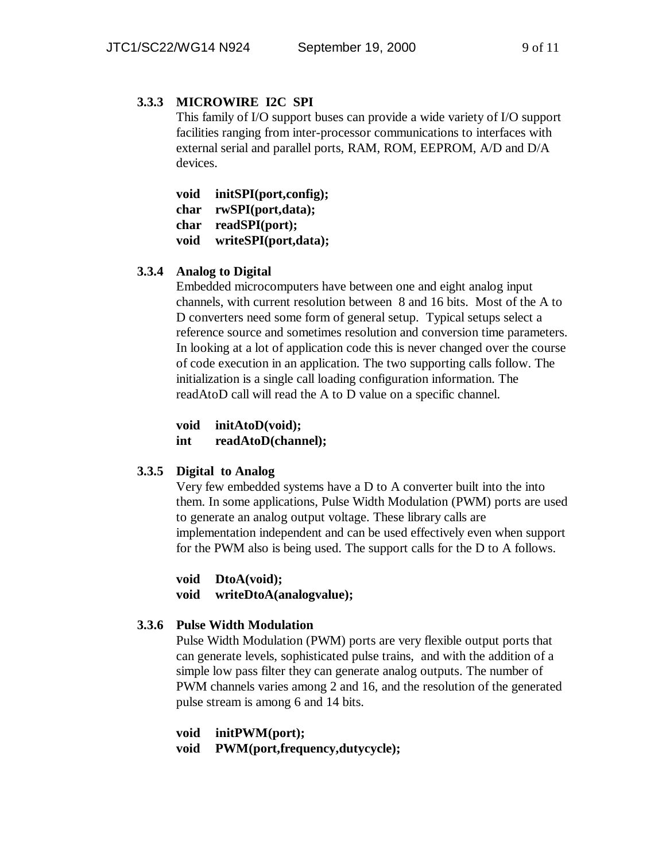# **3.3.3 MICROWIRE I2C SPI**

This family of I/O support buses can provide a wide variety of I/O support facilities ranging from inter-processor communications to interfaces with external serial and parallel ports, RAM, ROM, EEPROM, A/D and D/A devices.

**void initSPI(port,config); char rwSPI(port,data); char readSPI(port); void writeSPI(port,data);**

# **3.3.4 Analog to Digital**

Embedded microcomputers have between one and eight analog input channels, with current resolution between 8 and 16 bits. Most of the A to D converters need some form of general setup. Typical setups select a reference source and sometimes resolution and conversion time parameters. In looking at a lot of application code this is never changed over the course of code execution in an application. The two supporting calls follow. The initialization is a single call loading configuration information. The readAtoD call will read the A to D value on a specific channel.

**void initAtoD(void); int readAtoD(channel);**

### **3.3.5 Digital to Analog**

Very few embedded systems have a D to A converter built into the into them. In some applications, Pulse Width Modulation (PWM) ports are used to generate an analog output voltage. These library calls are implementation independent and can be used effectively even when support for the PWM also is being used. The support calls for the D to A follows.

**void DtoA(void);**

**void writeDtoA(analogvalue);**

### **3.3.6 Pulse Width Modulation**

Pulse Width Modulation (PWM) ports are very flexible output ports that can generate levels, sophisticated pulse trains, and with the addition of a simple low pass filter they can generate analog outputs. The number of PWM channels varies among 2 and 16, and the resolution of the generated pulse stream is among 6 and 14 bits.

**void initPWM(port);**

**void PWM(port,frequency,dutycycle);**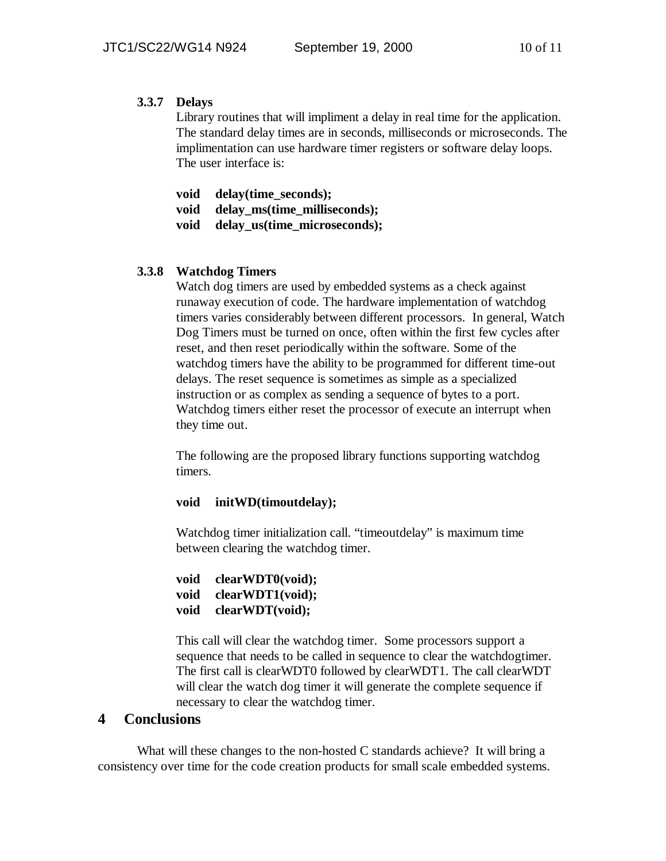### **3.3.7 Delays**

Library routines that will impliment a delay in real time for the application. The standard delay times are in seconds, milliseconds or microseconds. The implimentation can use hardware timer registers or software delay loops. The user interface is:

| void delay(time_seconds);         |
|-----------------------------------|
| void delay_ms(time_milliseconds); |
| void delay_us(time_microseconds); |

# **3.3.8 Watchdog Timers**

Watch dog timers are used by embedded systems as a check against runaway execution of code. The hardware implementation of watchdog timers varies considerably between different processors. In general, Watch Dog Timers must be turned on once, often within the first few cycles after reset, and then reset periodically within the software. Some of the watchdog timers have the ability to be programmed for different time-out delays. The reset sequence is sometimes as simple as a specialized instruction or as complex as sending a sequence of bytes to a port. Watchdog timers either reset the processor of execute an interrupt when they time out.

The following are the proposed library functions supporting watchdog timers.

### **void initWD(timoutdelay);**

Watchdog timer initialization call. "timeoutdelay" is maximum time between clearing the watchdog timer.

```
void clearWDT0(void);
void clearWDT1(void);
void clearWDT(void);
```
This call will clear the watchdog timer. Some processors support a sequence that needs to be called in sequence to clear the watchdogtimer. The first call is clearWDT0 followed by clearWDT1. The call clearWDT will clear the watch dog timer it will generate the complete sequence if necessary to clear the watchdog timer.

# **4 Conclusions**

What will these changes to the non-hosted C standards achieve? It will bring a consistency over time for the code creation products for small scale embedded systems.